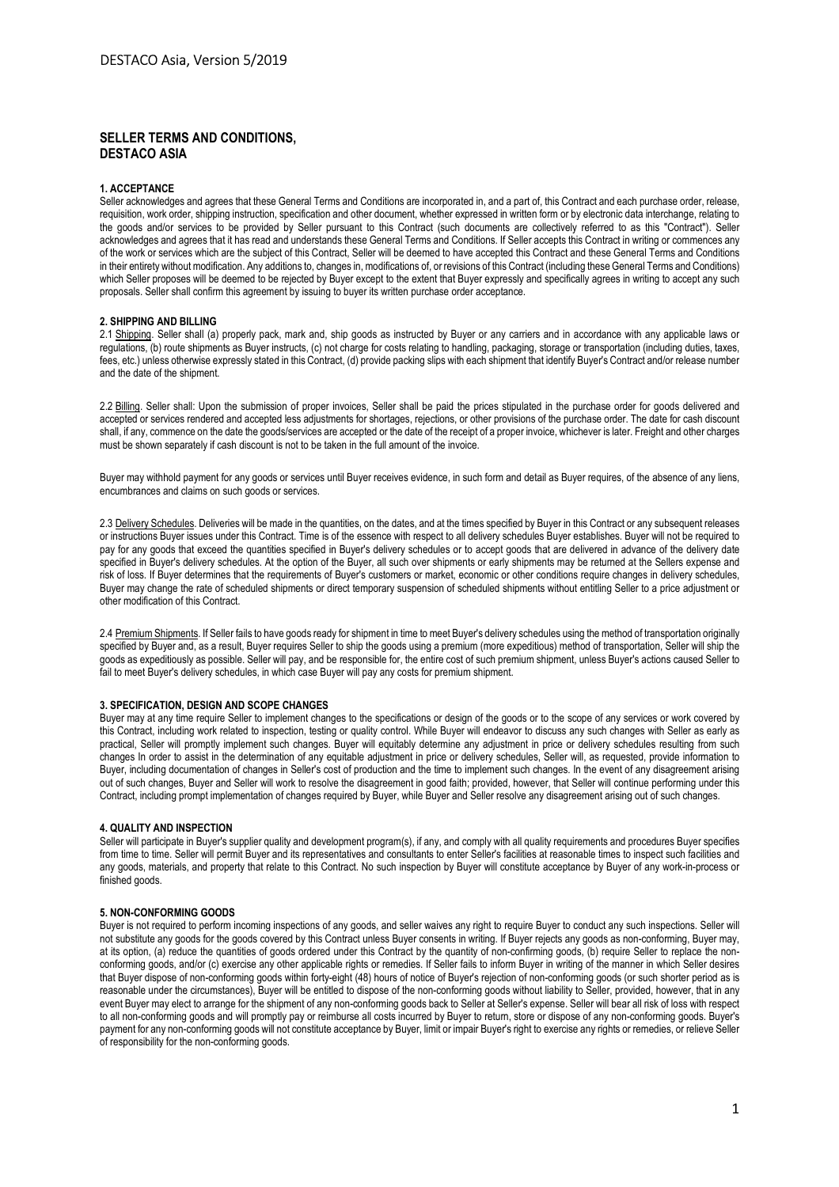# **SELLER TERMS AND CONDITIONS, DESTACO ASIA**

## **1. ACCEPTANCE**

Seller acknowledges and agrees that these General Terms and Conditions are incorporated in, and a part of, this Contract and each purchase order, release, requisition, work order, shipping instruction, specification and other document, whether expressed in written form or by electronic data interchange, relating to the goods and/or services to be provided by Seller pursuant to this Contract (such documents are collectively referred to as this "Contract"). Seller acknowledges and agrees that it has read and understands these General Terms and Conditions. If Seller accepts this Contract in writing or commences any of the work or services which are the subject of this Contract, Seller will be deemed to have accepted this Contract and these General Terms and Conditions in their entirety without modification. Any additions to, changes in, modifications of, or revisions of this Contract (including these General Terms and Conditions) which Seller proposes will be deemed to be rejected by Buyer except to the extent that Buyer expressly and specifically agrees in writing to accept any such proposals. Seller shall confirm this agreement by issuing to buyer its written purchase order acceptance.

#### **2. SHIPPING AND BILLING**

2.1 Shipping. Seller shall (a) properly pack, mark and, ship goods as instructed by Buyer or any carriers and in accordance with any applicable laws or regulations, (b) route shipments as Buyer instructs, (c) not charge for costs relating to handling, packaging, storage or transportation (including duties, taxes, fees, etc.) unless otherwise expressly stated in this Contract, (d) provide packing slips with each shipment that identify Buyer's Contract and/or release number and the date of the shipment.

2.2 Billing. Seller shall: Upon the submission of proper invoices, Seller shall be paid the prices stipulated in the purchase order for goods delivered and accepted or services rendered and accepted less adjustments for shortages, rejections, or other provisions of the purchase order. The date for cash discount shall, if any, commence on the date the goods/services are accepted or the date of the receipt of a proper invoice, whichever is later. Freight and other charges must be shown separately if cash discount is not to be taken in the full amount of the invoice.

Buyer may withhold payment for any goods or services until Buyer receives evidence, in such form and detail as Buyer requires, of the absence of any liens, encumbrances and claims on such goods or services.

2.3 Delivery Schedules. Deliveries will be made in the quantities, on the dates, and at the times specified by Buyer in this Contract or any subsequent releases or instructions Buyer issues under this Contract. Time is of the essence with respect to all delivery schedules Buyer establishes. Buyer will not be required to pay for any goods that exceed the quantities specified in Buyer's delivery schedules or to accept goods that are delivered in advance of the delivery date specified in Buyer's delivery schedules. At the option of the Buyer, all such over shipments or early shipments may be returned at the Sellers expense and risk of loss. If Buyer determines that the requirements of Buyer's customers or market, economic or other conditions require changes in delivery schedules, Buyer may change the rate of scheduled shipments or direct temporary suspension of scheduled shipments without entitling Seller to a price adjustment or other modification of this Contract.

2.4 Premium Shipments. If Seller fails to have goods ready for shipment in time to meet Buyer's delivery schedules using the method of transportation originally specified by Buyer and, as a result. Buyer requires Seller to ship the goods using a premium (more expeditious) method of transportation. Seller will ship the goods as expeditiously as possible. Seller will pay, and be responsible for, the entire cost of such premium shipment, unless Buyer's actions caused Seller to fail to meet Buyer's delivery schedules, in which case Buyer will pay any costs for premium shipment.

#### **3. SPECIFICATION, DESIGN AND SCOPE CHANGES**

Buyer may at any time require Seller to implement changes to the specifications or design of the goods or to the scope of any services or work covered by this Contract, including work related to inspection, testing or quality control. While Buyer will endeavor to discuss any such changes with Seller as early as practical, Seller will promptly implement such changes. Buyer will equitably determine any adjustment in price or delivery schedules resulting from such changes In order to assist in the determination of any equitable adjustment in price or delivery schedules, Seller will, as requested, provide information to Buyer, including documentation of changes in Seller's cost of production and the time to implement such changes. In the event of any disagreement arising out of such changes, Buyer and Seller will work to resolve the disagreement in good faith; provided, however, that Seller will continue performing under this Contract, including prompt implementation of changes required by Buyer, while Buyer and Seller resolve any disagreement arising out of such changes.

# **4. QUALITY AND INSPECTION**

Seller will participate in Buyer's supplier quality and development program(s), if any, and comply with all quality requirements and procedures Buyer specifies from time to time. Seller will permit Buyer and its representatives and consultants to enter Seller's facilities at reasonable times to inspect such facilities and any goods, materials, and property that relate to this Contract. No such inspection by Buyer will constitute acceptance by Buyer of any work-in-process or finished goods.

### **5. NON-CONFORMING GOODS**

Buyer is not required to perform incoming inspections of any goods, and seller waives any right to require Buyer to conduct any such inspections. Seller will not substitute any goods for the goods covered by this Contract unless Buyer consents in writing. If Buyer rejects any goods as non-conforming, Buyer may, at its option, (a) reduce the quantities of goods ordered under this Contract by the quantity of non-confirming goods, (b) require Seller to replace the nonconforming goods, and/or (c) exercise any other applicable rights or remedies. If Seller fails to inform Buyer in writing of the manner in which Seller desires that Buyer dispose of non-conforming goods within forty-eight (48) hours of notice of Buyer's rejection of non-conforming goods (or such shorter period as is reasonable under the circumstances), Buyer will be entitled to dispose of the non-conforming goods without liability to Seller, provided, however, that in any event Buyer may elect to arrange for the shipment of any non-conforming goods back to Seller at Seller's expense. Seller will bear all risk of loss with respect to all non-conforming goods and will promptly pay or reimburse all costs incurred by Buyer to return, store or dispose of any non-conforming goods. Buyer's payment for any non-conforming goods will not constitute acceptance by Buyer, limit or impair Buyer's right to exercise any rights or remedies, or relieve Seller of responsibility for the non-conforming goods.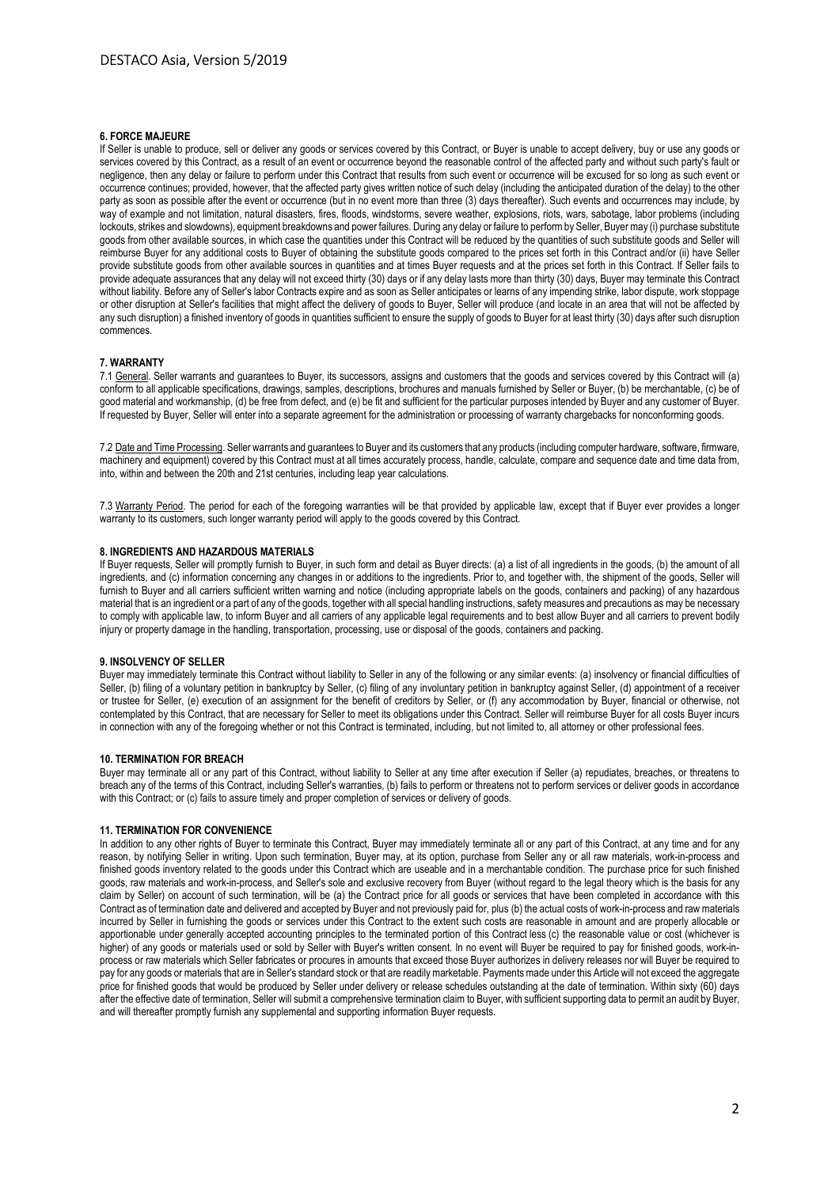### **6. FORCE MAJEURE**

If Seller is unable to produce, sell or deliver any goods or services covered by this Contract, or Buyer is unable to accept delivery, buy or use any goods or services covered by this Contract, as a result of an event or occurrence beyond the reasonable control of the affected party and without such party's fault or negligence, then any delay or failure to perform under this Contract that results from such event or occurrence will be excused for so long as such event or occurrence continues; provided, however, that the affected party gives written notice of such delay (including the anticipated duration of the delay) to the other party as soon as possible after the event or occurrence (but in no event more than three (3) days thereafter). Such events and occurrences may include, by way of example and not limitation, natural disasters, fires, floods, windstorms, severe weather, explosions, riots, wars, sabotage, labor problems (including lockouts, strikes and slowdowns), equipment breakdowns and power failures. During any delay or failure to perform by Seller, Buyer may (i) purchase substitute goods from other available sources, in which case the quantities under this Contract will be reduced by the quantities of such substitute goods and Seller will reimburse Buyer for any additional costs to Buyer of obtaining the substitute goods compared to the prices set forth in this Contract and/or (ii) have Seller provide substitute goods from other available sources in quantities and at times Buyer requests and at the prices set forth in this Contract. If Seller fails to provide adequate assurances that any delay will not exceed thirty (30) days or if any delay lasts more than thirty (30) days, Buyer may terminate this Contract without liability. Before any of Seller's labor Contracts expire and as soon as Seller anticipates or learns of any impending strike, labor dispute, work stoppage or other disruption at Seller's facilities that might affect the delivery of goods to Buyer, Seller will produce (and locate in an area that will not be affected by any such disruption) a finished inventory of goods in quantities sufficient to ensure the supply of goods to Buyer for at least thirty (30) days after such disruption commences.

# **7. WARRANTY**

7.1 General. Seller warrants and guarantees to Buyer, its successors, assigns and customers that the goods and services covered by this Contract will (a) conform to all applicable specifications, drawings, samples, descriptions, brochures and manuals furnished by Seller or Buyer, (b) be merchantable, (c) be of good material and workmanship, (d) be free from defect, and (e) be fit and sufficient for the particular purposes intended by Buyer and any customer of Buyer. If requested by Buyer, Seller will enter into a separate agreement for the administration or processing of warranty chargebacks for nonconforming goods.

7.2 Date and Time Processing. Seller warrants and guarantees to Buyer and its customers that any products (including computer hardware, software, firmware, machinery and equipment) covered by this Contract must at all times accurately process, handle, calculate, compare and sequence date and time data from, into, within and between the 20th and 21st centuries, including leap year calculations.

7.3 Warranty Period. The period for each of the foregoing warranties will be that provided by applicable law, except that if Buyer ever provides a longer warranty to its customers, such longer warranty period will apply to the goods covered by this Contract.

# **8. INGREDIENTS AND HAZARDOUS MATERIALS**

If Buyer requests, Seller will promptly furnish to Buyer, in such form and detail as Buyer directs: (a) a list of all ingredients in the goods, (b) the amount of all ingredients, and (c) information concerning any changes in or additions to the ingredients. Prior to, and together with, the shipment of the goods, Seller will furnish to Buyer and all carriers sufficient written warning and notice (including appropriate labels on the goods, containers and packing) of any hazardous material that is an ingredient or a part of any of the goods, together with all special handling instructions, safety measures and precautions as may be necessary to comply with applicable law, to inform Buyer and all carriers of any applicable legal requirements and to best allow Buyer and all carriers to prevent bodily injury or property damage in the handling, transportation, processing, use or disposal of the goods, containers and packing.

### **9. INSOLVENCY OF SELLER**

Buyer may immediately terminate this Contract without liability to Seller in any of the following or any similar events: (a) insolvency or financial difficulties of Seller, (b) filing of a voluntary petition in bankruptcy by Seller, (c) filing of any involuntary petition in bankruptcy against Seller, (d) appointment of a receiver or trustee for Seller, (e) execution of an assignment for the benefit of creditors by Seller, or (f) any accommodation by Buyer, financial or otherwise, not contemplated by this Contract, that are necessary for Seller to meet its obligations under this Contract. Seller will reimburse Buyer for all costs Buyer incurs in connection with any of the foregoing whether or not this Contract is terminated, including, but not limited to, all attorney or other professional fees.

### **10. TERMINATION FOR BREACH**

Buyer may terminate all or any part of this Contract, without liability to Seller at any time after execution if Seller (a) repudiates, breaches, or threatens to breach any of the terms of this Contract, including Seller's warranties, (b) fails to perform or threatens not to perform services or deliver goods in accordance with this Contract; or (c) fails to assure timely and proper completion of services or delivery of goods.

## **11. TERMINATION FOR CONVENIENCE**

In addition to any other rights of Buyer to terminate this Contract, Buyer may immediately terminate all or any part of this Contract, at any time and for any reason, by notifying Seller in writing. Upon such termination, Buyer may, at its option, purchase from Seller any or all raw materials, work-in-process and finished goods inventory related to the goods under this Contract which are useable and in a merchantable condition. The purchase price for such finished goods, raw materials and work-in-process, and Seller's sole and exclusive recovery from Buyer (without regard to the legal theory which is the basis for any claim by Seller) on account of such termination, will be (a) the Contract price for all goods or services that have been completed in accordance with this Contract as of termination date and delivered and accepted by Buyer and not previously paid for, plus (b) the actual costs of work-in-process and raw materials incurred by Seller in furnishing the goods or services under this Contract to the extent such costs are reasonable in amount and are properly allocable or apportionable under generally accepted accounting principles to the terminated portion of this Contract less (c) the reasonable value or cost (whichever is higher) of any goods or materials used or sold by Seller with Buyer's written consent. In no event will Buyer be required to pay for finished goods, work-inprocess or raw materials which Seller fabricates or procures in amounts that exceed those Buyer authorizes in delivery releases nor will Buyer be required to pay for any goods or materials that are in Seller's standard stock or that are readily marketable. Payments made under this Article will not exceed the aggregate price for finished goods that would be produced by Seller under delivery or release schedules outstanding at the date of termination. Within sixty (60) days after the effective date of termination, Seller will submit a comprehensive termination claim to Buyer, with sufficient supporting data to permit an audit by Buyer, and will thereafter promptly furnish any supplemental and supporting information Buyer requests.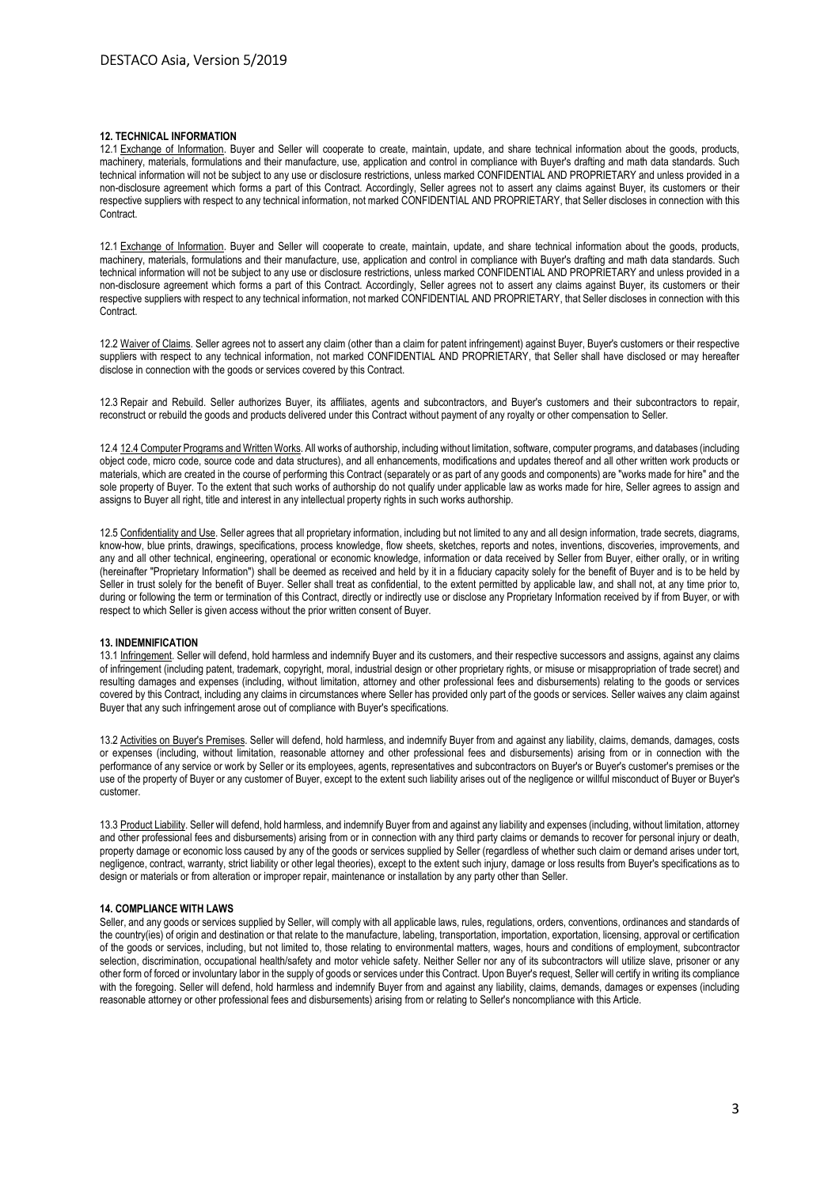# **12. TECHNICAL INFORMATION**

12.1 Exchange of Information. Buyer and Seller will cooperate to create, maintain, update, and share technical information about the goods, products, machinery, materials, formulations and their manufacture, use, application and control in compliance with Buyer's drafting and math data standards. Such technical information will not be subject to any use or disclosure restrictions, unless marked CONFIDENTIAL AND PROPRIETARY and unless provided in a non-disclosure agreement which forms a part of this Contract. Accordingly, Seller agrees not to assert any claims against Buyer, its customers or their respective suppliers with respect to any technical information, not marked CONFIDENTIAL AND PROPRIETARY, that Seller discloses in connection with this **Contract.** 

12.1 Exchange of Information. Buyer and Seller will cooperate to create, maintain, update, and share technical information about the goods, products, machinery, materials, formulations and their manufacture, use, application and control in compliance with Buyer's drafting and math data standards. Such technical information will not be subject to any use or disclosure restrictions, unless marked CONFIDENTIAL AND PROPRIETARY and unless provided in a non-disclosure agreement which forms a part of this Contract. Accordingly, Seller agrees not to assert any claims against Buyer, its customers or their respective suppliers with respect to any technical information, not marked CONFIDENTIAL AND PROPRIETARY, that Seller discloses in connection with this **Contract.** 

12.2 Waiver of Claims. Seller agrees not to assert any claim (other than a claim for patent infringement) against Buyer, Buyer's customers or their respective suppliers with respect to any technical information, not marked CONFIDENTIAL AND PROPRIETARY, that Seller shall have disclosed or may hereafter disclose in connection with the goods or services covered by this Contract.

12.3 Repair and Rebuild. Seller authorizes Buyer, its affiliates, agents and subcontractors, and Buyer's customers and their subcontractors to repair, reconstruct or rebuild the goods and products delivered under this Contract without payment of any royalty or other compensation to Seller.

12.4 12.4 Computer Programs and Written Works. All works of authorship, including without limitation, software, computer programs, and databases (including object code, micro code, source code and data structures), and all enhancements, modifications and updates thereof and all other written work products or materials, which are created in the course of performing this Contract (separately or as part of any goods and components) are "works made for hire" and the sole property of Buyer. To the extent that such works of authorship do not qualify under applicable law as works made for hire, Seller agrees to assign and assigns to Buyer all right, title and interest in any intellectual property rights in such works authorship.

12.5 Confidentiality and Use. Seller agrees that all proprietary information, including but not limited to any and all design information, trade secrets, diagrams, know-how, blue prints, drawings, specifications, process knowledge, flow sheets, sketches, reports and notes, inventions, discoveries, improvements, and any and all other technical, engineering, operational or economic knowledge, information or data received by Seller from Buyer, either orally, or in writing (hereinafter "Proprietary Information") shall be deemed as received and held by it in a fiduciary capacity solely for the benefit of Buyer and is to be held by Seller in trust solely for the benefit of Buyer. Seller shall treat as confidential, to the extent permitted by applicable law, and shall not, at any time prior to, during or following the term or termination of this Contract, directly or indirectly use or disclose any Proprietary Information received by if from Buyer, or with respect to which Seller is given access without the prior written consent of Buyer.

## **13. INDEMNIFICATION**

13.1 Infringement. Seller will defend, hold harmless and indemnify Buyer and its customers, and their respective successors and assigns, against any claims of infringement (including patent, trademark, copyright, moral, industrial design or other proprietary rights, or misuse or misappropriation of trade secret) and resulting damages and expenses (including, without limitation, attorney and other professional fees and disbursements) relating to the goods or services covered by this Contract, including any claims in circumstances where Seller has provided only part of the goods or services. Seller waives any claim against Buyer that any such infringement arose out of compliance with Buyer's specifications.

13.2 Activities on Buyer's Premises. Seller will defend, hold harmless, and indemnify Buyer from and against any liability, claims, demands, damages, costs or expenses (including, without limitation, reasonable attorney and other professional fees and disbursements) arising from or in connection with the performance of any service or work by Seller or its employees, agents, representatives and subcontractors on Buyer's or Buyer's customer's premises or the use of the property of Buyer or any customer of Buyer, except to the extent such liability arises out of the negligence or willful misconduct of Buyer or Buyer's customer.

13.3 Product Liability. Seller will defend, hold harmless, and indemnify Buyer from and against any liability and expenses (including, without limitation, attorney and other professional fees and disbursements) arising from or in connection with any third party claims or demands to recover for personal injury or death, property damage or economic loss caused by any of the goods or services supplied by Seller (regardless of whether such claim or demand arises under tort, negligence, contract, warranty, strict liability or other legal theories), except to the extent such injury, damage or loss results from Buyer's specifications as to design or materials or from alteration or improper repair, maintenance or installation by any party other than Seller.

#### **14. COMPLIANCE WITH LAWS**

Seller, and any goods or services supplied by Seller, will comply with all applicable laws, rules, regulations, orders, conventions, ordinances and standards of the country(ies) of origin and destination or that relate to the manufacture, labeling, transportation, importation, exportation, licensing, approval or certification of the goods or services, including, but not limited to, those relating to environmental matters, wages, hours and conditions of employment, subcontractor selection, discrimination, occupational health/safety and motor vehicle safety. Neither Seller nor any of its subcontractors will utilize slave, prisoner or any other form of forced or involuntary labor in the supply of goods or services under this Contract. Upon Buyer's request, Seller will certify in writing its compliance with the foregoing. Seller will defend, hold harmless and indemnify Buyer from and against any liability, claims, demands, damages or expenses (including reasonable attorney or other professional fees and disbursements) arising from or relating to Seller's noncompliance with this Article.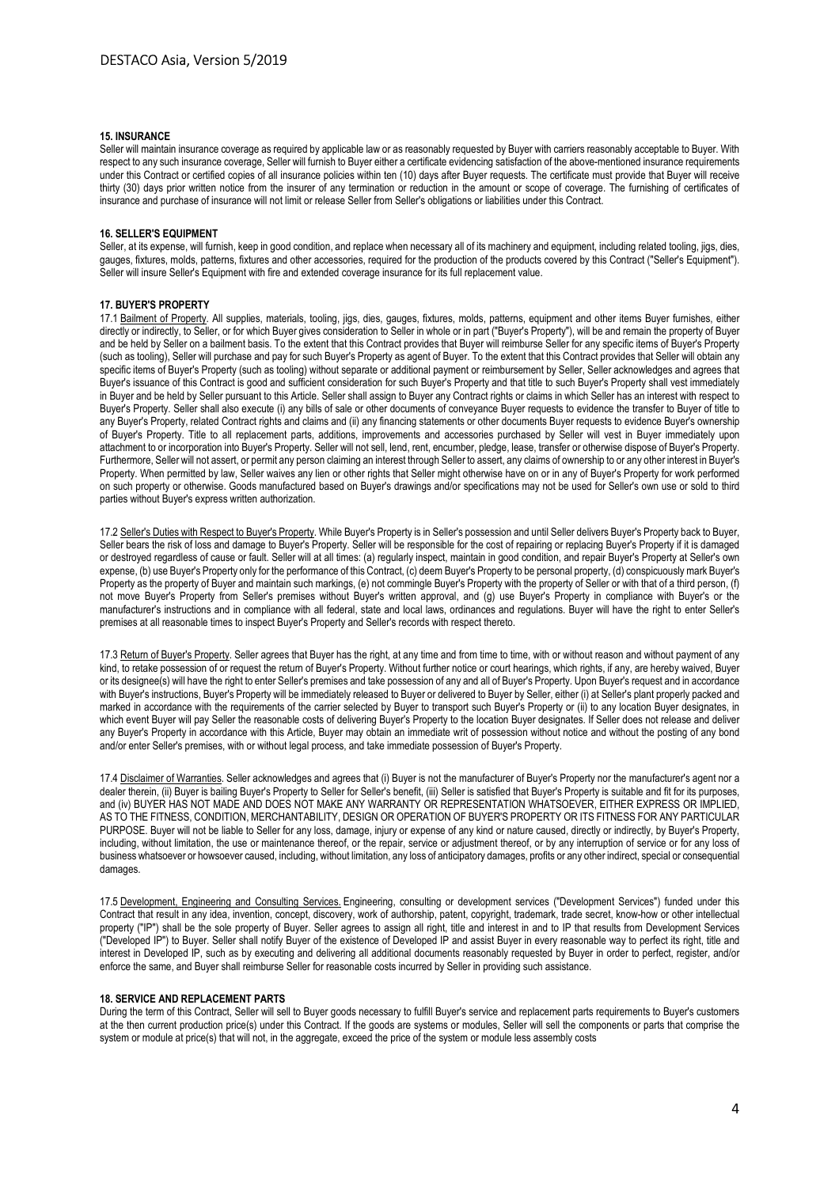# **15. INSURANCE**

Seller will maintain insurance coverage as required by applicable law or as reasonably requested by Buyer with carriers reasonably acceptable to Buyer. With respect to any such insurance coverage, Seller will furnish to Buyer either a certificate evidencing satisfaction of the above-mentioned insurance requirements under this Contract or certified copies of all insurance policies within ten (10) days after Buyer requests. The certificate must provide that Buyer will receive thirty (30) days prior written notice from the insurer of any termination or reduction in the amount or scope of coverage. The furnishing of certificates of insurance and purchase of insurance will not limit or release Seller from Seller's obligations or liabilities under this Contract.

## **16. SELLER'S EQUIPMENT**

Seller, at its expense, will furnish, keep in good condition, and replace when necessary all of its machinery and equipment, including related tooling, iigs, dies, gauges, fixtures, molds, patterns, fixtures and other accessories, required for the production of the products covered by this Contract ("Seller's Equipment"). Seller will insure Seller's Equipment with fire and extended coverage insurance for its full replacement value.

## **17. BUYER'S PROPERTY**

17.1 Bailment of Property. All supplies, materials, tooling, jigs, dies, gauges, fixtures, molds, patterns, equipment and other items Buyer furnishes, either directly or indirectly, to Seller, or for which Buyer gives consideration to Seller in whole or in part ("Buyer's Property"), will be and remain the property of Buyer and be held by Seller on a bailment basis. To the extent that this Contract provides that Buyer will reimburse Seller for any specific items of Buyer's Property (such as tooling), Seller will purchase and pay for such Buyer's Property as agent of Buyer. To the extent that this Contract provides that Seller will obtain any specific items of Buyer's Property (such as tooling) without separate or additional payment or reimbursement by Seller, Seller acknowledges and agrees that Buyer's issuance of this Contract is good and sufficient consideration for such Buyer's Property and that title to such Buyer's Property shall vest immediately in Buyer and be held by Seller pursuant to this Article. Seller shall assign to Buyer any Contract rights or claims in which Seller has an interest with respect to Buyer's Property. Seller shall also execute (i) any bills of sale or other documents of conveyance Buyer requests to evidence the transfer to Buyer of title to any Buyer's Property, related Contract rights and claims and (ii) any financing statements or other documents Buyer requests to evidence Buyer's ownership of Buyer's Property. Title to all replacement parts, additions, improvements and accessories purchased by Seller will vest in Buyer immediately upon attachment to or incorporation into Buyer's Property. Seller will not sell, lend, rent, encumber, pledge, lease, transfer or otherwise dispose of Buyer's Property. Furthermore, Seller will not assert, or permit any person claiming an interest through Seller to assert, any claims of ownership to or any other interest in Buyer's Property. When permitted by law, Seller waives any lien or other rights that Seller might otherwise have on or in any of Buyer's Property for work performed on such property or otherwise. Goods manufactured based on Buyer's drawings and/or specifications may not be used for Seller's own use or sold to third parties without Buyer's express written authorization.

17.2 Seller's Duties with Respect to Buyer's Property. While Buyer's Property is in Seller's possession and until Seller delivers Buyer's Property back to Buver. Seller bears the risk of loss and damage to Buyer's Property. Seller will be responsible for the cost of repairing or replacing Buyer's Property if it is damaged or destroyed regardless of cause or fault. Seller will at all times: (a) regularly inspect, maintain in good condition, and repair Buyer's Property at Seller's own expense, (b) use Buyer's Property only for the performance of this Contract, (c) deem Buyer's Property to be personal property, (d) conspicuously mark Buyer's Property as the property of Buyer and maintain such markings, (e) not commingle Buyer's Property with the property of Seller or with that of a third person, (f) not move Buyer's Property from Seller's premises without Buyer's written approval, and (g) use Buyer's Property in compliance with Buyer's or the manufacturer's instructions and in compliance with all federal, state and local laws, ordinances and regulations. Buyer will have the right to enter Seller's premises at all reasonable times to inspect Buyer's Property and Seller's records with respect thereto.

17.3 Return of Buyer's Property. Seller agrees that Buyer has the right, at any time and from time to time, with or without reason and without payment of any kind, to retake possession of or request the return of Buyer's Property. Without further notice or court hearings, which rights, if any, are hereby waived, Buyer or its designee(s) will have the right to enter Seller's premises and take possession of any and all of Buyer's Property. Upon Buyer's request and in accordance with Buyer's instructions, Buyer's Property will be immediately released to Buyer or delivered to Buyer by Seller, either (i) at Seller's plant properly packed and marked in accordance with the requirements of the carrier selected by Buyer to transport such Buyer's Property or (ii) to any location Buyer designates, in which event Buyer will pay Seller the reasonable costs of delivering Buyer's Property to the location Buyer designates. If Seller does not release and deliver any Buyer's Property in accordance with this Article, Buyer may obtain an immediate writ of possession without notice and without the posting of any bond and/or enter Seller's premises, with or without legal process, and take immediate possession of Buyer's Property.

17.4 Disclaimer of Warranties. Seller acknowledges and agrees that (i) Buyer is not the manufacturer of Buyer's Property nor the manufacturer's agent nor a dealer therein, (ii) Buyer is bailing Buyer's Property to Seller for Seller's benefit, (iii) Seller is satisfied that Buyer's Property is suitable and fit for its purposes, and (iv) BUYER HAS NOT MADE AND DOES NOT MAKE ANY WARRANTY OR REPRESENTATION WHATSOEVER, EITHER EXPRESS OR IMPLIED, AS TO THE FITNESS, CONDITION, MERCHANTABILITY, DESIGN OR OPERATION OF BUYER'S PROPERTY OR ITS FITNESS FOR ANY PARTICULAR PURPOSE. Buyer will not be liable to Seller for any loss, damage, injury or expense of any kind or nature caused, directly or indirectly, by Buyer's Property, including, without limitation, the use or maintenance thereof, or the repair, service or adjustment thereof, or by any interruption of service or for any loss of business whatsoever or howsoever caused, including, without limitation, any loss of anticipatory damages, profits or any other indirect, special or consequential damages.

17.5 Development, Engineering and Consulting Services. Engineering, consulting or development services ("Development Services") funded under this Contract that result in any idea, invention, concept, discovery, work of authorship, patent, copyright, trademark, trade secret, know-how or other intellectual property ("IP") shall be the sole property of Buyer. Seller agrees to assign all right, title and interest in and to IP that results from Development Services ("Developed IP") to Buyer. Seller shall notify Buyer of the existence of Developed IP and assist Buyer in every reasonable way to perfect its right, title and interest in Developed IP, such as by executing and delivering all additional documents reasonably requested by Buyer in order to perfect, register, and/or enforce the same, and Buyer shall reimburse Seller for reasonable costs incurred by Seller in providing such assistance.

## **18. SERVICE AND REPLACEMENT PARTS**

During the term of this Contract, Seller will sell to Buyer goods necessary to fulfill Buyer's service and replacement parts requirements to Buyer's customers at the then current production price(s) under this Contract. If the goods are systems or modules, Seller will sell the components or parts that comprise the system or module at price(s) that will not, in the aggregate, exceed the price of the system or module less assembly costs